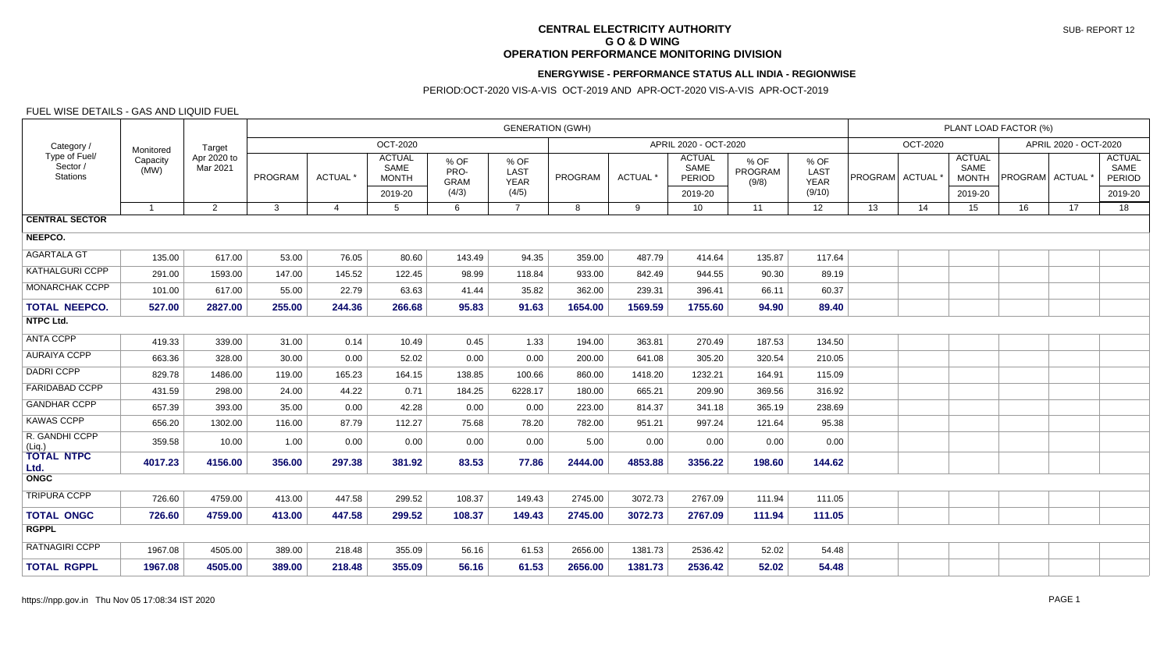# **CENTRAL ELECTRICITY AUTHORITY G O & D WING OPERATION PERFORMANCE MONITORING DIVISION**

#### **ENERGYWISE - PERFORMANCE STATUS ALL INDIA - REGIONWISE**

### PERIOD:OCT-2020 VIS-A-VIS OCT-2019 AND APR-OCT-2020 VIS-A-VIS APR-OCT-2019

### FUEL WISE DETAILS - GAS AND LIQUID FUEL

| Category /<br>Type of Fuel/<br>Sector /<br><b>Stations</b> | Monitored<br>Capacity<br>(MW) | Target<br>Apr 2020 to<br>Mar 2021 | <b>GENERATION (GWH)</b> |                |                                                  |                                      |                                      |                |                 |                                            |                          |                                       |                       | PLANT LOAD FACTOR (%) |                                                  |                             |                       |                                                   |  |  |
|------------------------------------------------------------|-------------------------------|-----------------------------------|-------------------------|----------------|--------------------------------------------------|--------------------------------------|--------------------------------------|----------------|-----------------|--------------------------------------------|--------------------------|---------------------------------------|-----------------------|-----------------------|--------------------------------------------------|-----------------------------|-----------------------|---------------------------------------------------|--|--|
|                                                            |                               |                                   | OCT-2020                |                |                                                  |                                      |                                      |                |                 | APRIL 2020 - OCT-2020                      |                          |                                       |                       | OCT-2020              |                                                  |                             | APRIL 2020 - OCT-2020 |                                                   |  |  |
|                                                            |                               |                                   | PROGRAM                 | ACTUAL *       | <b>ACTUAL</b><br>SAME<br><b>MONTH</b><br>2019-20 | % OF<br>PRO-<br><b>GRAM</b><br>(4/3) | % OF<br>LAST<br><b>YEAR</b><br>(4/5) | <b>PROGRAM</b> | <b>ACTUAL</b> * | <b>ACTUAL</b><br>SAME<br>PERIOD<br>2019-20 | % OF<br>PROGRAM<br>(9/8) | % OF<br>LAST<br><b>YEAR</b><br>(9/10) | <b>PROGRAM</b> ACTUAL |                       | <b>ACTUAL</b><br>SAME<br><b>MONTH</b><br>2019-20 | PROGRAM ACTUAL <sup>*</sup> |                       | <b>ACTUAL</b><br>SAME<br><b>PERIOD</b><br>2019-20 |  |  |
|                                                            | $\overline{1}$                | 2                                 | $\mathbf{3}$            | $\overline{4}$ | 5                                                | 6                                    | $\overline{7}$                       | 8              | 9               | 10                                         | 11                       | 12                                    | 13                    | 14                    | 15                                               | 16                          | 17                    | 18                                                |  |  |
| <b>CENTRAL SECTOR</b>                                      |                               |                                   |                         |                |                                                  |                                      |                                      |                |                 |                                            |                          |                                       |                       |                       |                                                  |                             |                       |                                                   |  |  |
| NEEPCO.                                                    |                               |                                   |                         |                |                                                  |                                      |                                      |                |                 |                                            |                          |                                       |                       |                       |                                                  |                             |                       |                                                   |  |  |
| <b>AGARTALA GT</b>                                         | 135.00                        | 617.00                            | 53.00                   | 76.05          | 80.60                                            | 143.49                               | 94.35                                | 359.00         | 487.79          | 414.64                                     | 135.87                   | 117.64                                |                       |                       |                                                  |                             |                       |                                                   |  |  |
| <b>KATHALGURI CCPP</b>                                     | 291.00                        | 1593.00                           | 147.00                  | 145.52         | 122.45                                           | 98.99                                | 118.84                               | 933.00         | 842.49          | 944.55                                     | 90.30                    | 89.19                                 |                       |                       |                                                  |                             |                       |                                                   |  |  |
| <b>MONARCHAK CCPP</b>                                      | 101.00                        | 617.00                            | 55.00                   | 22.79          | 63.63                                            | 41.44                                | 35.82                                | 362.00         | 239.31          | 396.41                                     | 66.11                    | 60.37                                 |                       |                       |                                                  |                             |                       |                                                   |  |  |
| <b>TOTAL NEEPCO.</b>                                       | 527.00                        | 2827.00                           | 255.00                  | 244.36         | 266.68                                           | 95.83                                | 91.63                                | 1654.00        | 1569.59         | 1755.60                                    | 94.90                    | 89.40                                 |                       |                       |                                                  |                             |                       |                                                   |  |  |
| <b>NTPC Ltd.</b>                                           |                               |                                   |                         |                |                                                  |                                      |                                      |                |                 |                                            |                          |                                       |                       |                       |                                                  |                             |                       |                                                   |  |  |
| <b>ANTA CCPP</b>                                           | 419.33                        | 339.00                            | 31.00                   | 0.14           | 10.49                                            | 0.45                                 | 1.33                                 | 194.00         | 363.81          | 270.49                                     | 187.53                   | 134.50                                |                       |                       |                                                  |                             |                       |                                                   |  |  |
| <b>AURAIYA CCPP</b>                                        | 663.36                        | 328.00                            | 30.00                   | 0.00           | 52.02                                            | 0.00                                 | 0.00                                 | 200.00         | 641.08          | 305.20                                     | 320.54                   | 210.05                                |                       |                       |                                                  |                             |                       |                                                   |  |  |
| <b>DADRI CCPP</b>                                          | 829.78                        | 1486.00                           | 119.00                  | 165.23         | 164.15                                           | 138.85                               | 100.66                               | 860.00         | 1418.20         | 1232.21                                    | 164.91                   | 115.09                                |                       |                       |                                                  |                             |                       |                                                   |  |  |
| <b>FARIDABAD CCPP</b>                                      | 431.59                        | 298.00                            | 24.00                   | 44.22          | 0.71                                             | 184.25                               | 6228.17                              | 180.00         | 665.21          | 209.90                                     | 369.56                   | 316.92                                |                       |                       |                                                  |                             |                       |                                                   |  |  |
| <b>GANDHAR CCPP</b>                                        | 657.39                        | 393.00                            | 35.00                   | 0.00           | 42.28                                            | 0.00                                 | 0.00                                 | 223.00         | 814.37          | 341.18                                     | 365.19                   | 238.69                                |                       |                       |                                                  |                             |                       |                                                   |  |  |
| <b>KAWAS CCPP</b>                                          | 656.20                        | 1302.00                           | 116.00                  | 87.79          | 112.27                                           | 75.68                                | 78.20                                | 782.00         | 951.21          | 997.24                                     | 121.64                   | 95.38                                 |                       |                       |                                                  |                             |                       |                                                   |  |  |
| R. GANDHI CCPP<br>(Liq.)                                   | 359.58                        | 10.00                             | 1.00                    | 0.00           | 0.00                                             | 0.00                                 | 0.00                                 | 5.00           | 0.00            | 0.00                                       | 0.00                     | 0.00                                  |                       |                       |                                                  |                             |                       |                                                   |  |  |
| <b>TOTAL NTPC</b><br>Ltd.                                  | 4017.23                       | 4156.00                           | 356.00                  | 297.38         | 381.92                                           | 83.53                                | 77.86                                | 2444.00        | 4853.88         | 3356.22                                    | 198.60                   | 144.62                                |                       |                       |                                                  |                             |                       |                                                   |  |  |
| <b>ONGC</b>                                                |                               |                                   |                         |                |                                                  |                                      |                                      |                |                 |                                            |                          |                                       |                       |                       |                                                  |                             |                       |                                                   |  |  |
| <b>TRIPURA CCPP</b>                                        | 726.60                        | 4759.00                           | 413.00                  | 447.58         | 299.52                                           | 108.37                               | 149.43                               | 2745.00        | 3072.73         | 2767.09                                    | 111.94                   | 111.05                                |                       |                       |                                                  |                             |                       |                                                   |  |  |
| <b>TOTAL ONGC</b>                                          | 726.60                        | 4759.00                           | 413.00                  | 447.58         | 299.52                                           | 108.37                               | 149.43                               | 2745.00        | 3072.73         | 2767.09                                    | 111.94                   | 111.05                                |                       |                       |                                                  |                             |                       |                                                   |  |  |
| <b>RGPPL</b>                                               |                               |                                   |                         |                |                                                  |                                      |                                      |                |                 |                                            |                          |                                       |                       |                       |                                                  |                             |                       |                                                   |  |  |
| <b>RATNAGIRI CCPP</b>                                      | 1967.08                       | 4505.00                           | 389.00                  | 218.48         | 355.09                                           | 56.16                                | 61.53                                | 2656.00        | 1381.73         | 2536.42                                    | 52.02                    | 54.48                                 |                       |                       |                                                  |                             |                       |                                                   |  |  |
| <b>TOTAL RGPPL</b>                                         | 1967.08                       | 4505.00                           | 389.00                  | 218.48         | 355.09                                           | 56.16                                | 61.53                                | 2656.00        | 1381.73         | 2536.42                                    | 52.02                    | 54.48                                 |                       |                       |                                                  |                             |                       |                                                   |  |  |